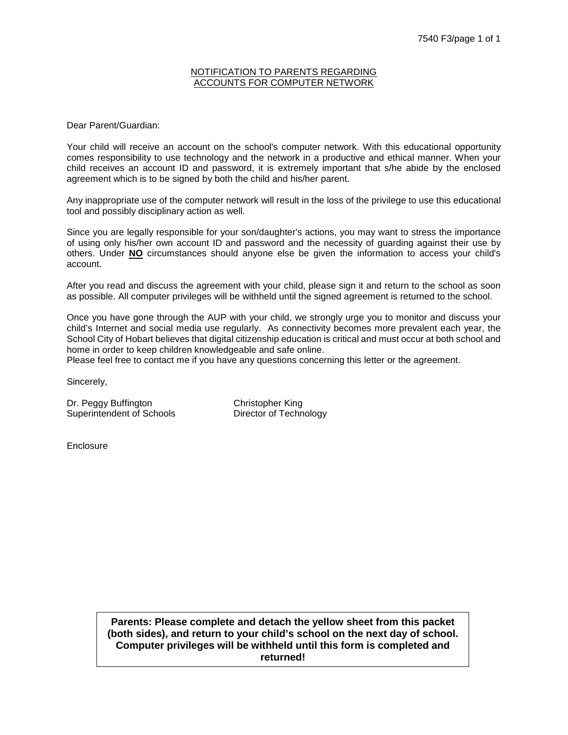### NOTIFICATION TO PARENTS REGARDING ACCOUNTS FOR COMPUTER NETWORK

Dear Parent/Guardian:

Your child will receive an account on the school's computer network. With this educational opportunity comes responsibility to use technology and the network in a productive and ethical manner. When your child receives an account ID and password, it is extremely important that s/he abide by the enclosed agreement which is to be signed by both the child and his/her parent.

Any inappropriate use of the computer network will result in the loss of the privilege to use this educational tool and possibly disciplinary action as well.

Since you are legally responsible for your son/daughter's actions, you may want to stress the importance of using only his/her own account ID and password and the necessity of guarding against their use by others. Under **NO** circumstances should anyone else be given the information to access your child's account.

After you read and discuss the agreement with your child, please sign it and return to the school as soon as possible. All computer privileges will be withheld until the signed agreement is returned to the school.

Once you have gone through the AUP with your child, we strongly urge you to monitor and discuss your child's Internet and social media use regularly. As connectivity becomes more prevalent each year, the School City of Hobart believes that digital citizenship education is critical and must occur at both school and home in order to keep children knowledgeable and safe online.

Please feel free to contact me if you have any questions concerning this letter or the agreement.

Sincerely,

Dr. Peggy Buffington Christopher King Superintendent of Schools Director of Technology

**Enclosure** 

**Parents: Please complete and detach the yellow sheet from this packet (both sides), and return to your child's school on the next day of school. Computer privileges will be withheld until this form is completed and returned!**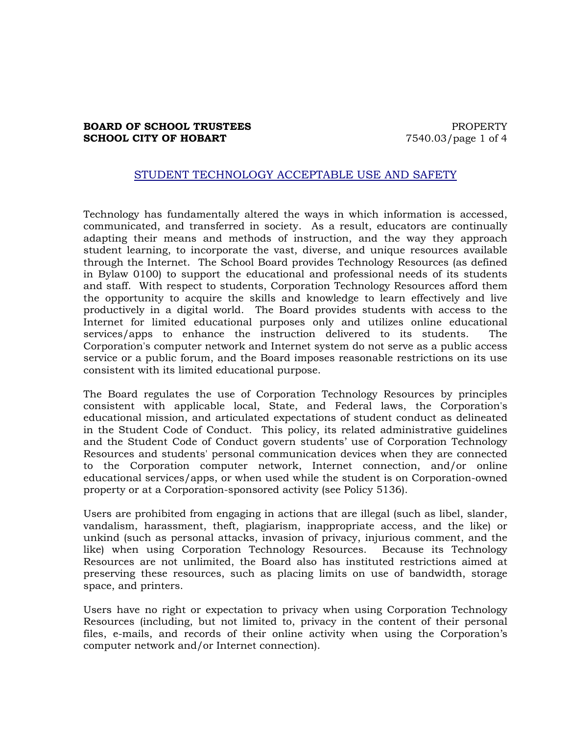# **BOARD OF SCHOOL TRUSTEES** PROPERTY **SCHOOL CITY OF HOBART** 7540.03/page 1 of 4

# STUDENT TECHNOLOGY ACCEPTABLE USE AND SAFETY

Technology has fundamentally altered the ways in which information is accessed, communicated, and transferred in society. As a result, educators are continually adapting their means and methods of instruction, and the way they approach student learning, to incorporate the vast, diverse, and unique resources available through the Internet. The School Board provides Technology Resources (as defined in Bylaw 0100) to support the educational and professional needs of its students and staff. With respect to students, Corporation Technology Resources afford them the opportunity to acquire the skills and knowledge to learn effectively and live productively in a digital world. The Board provides students with access to the Internet for limited educational purposes only and utilizes online educational services/apps to enhance the instruction delivered to its students. The Corporation's computer network and Internet system do not serve as a public access service or a public forum, and the Board imposes reasonable restrictions on its use consistent with its limited educational purpose.

The Board regulates the use of Corporation Technology Resources by principles consistent with applicable local, State, and Federal laws, the Corporation's educational mission, and articulated expectations of student conduct as delineated in the Student Code of Conduct. This policy, its related administrative guidelines and the Student Code of Conduct govern students' use of Corporation Technology Resources and students' personal communication devices when they are connected to the Corporation computer network, Internet connection, and/or online educational services/apps, or when used while the student is on Corporation-owned property or at a Corporation-sponsored activity (see Policy 5136).

Users are prohibited from engaging in actions that are illegal (such as libel, slander, vandalism, harassment, theft, plagiarism, inappropriate access, and the like) or unkind (such as personal attacks, invasion of privacy, injurious comment, and the like) when using Corporation Technology Resources. Because its Technology Resources are not unlimited, the Board also has instituted restrictions aimed at preserving these resources, such as placing limits on use of bandwidth, storage space, and printers.

Users have no right or expectation to privacy when using Corporation Technology Resources (including, but not limited to, privacy in the content of their personal files, e-mails, and records of their online activity when using the Corporation's computer network and/or Internet connection).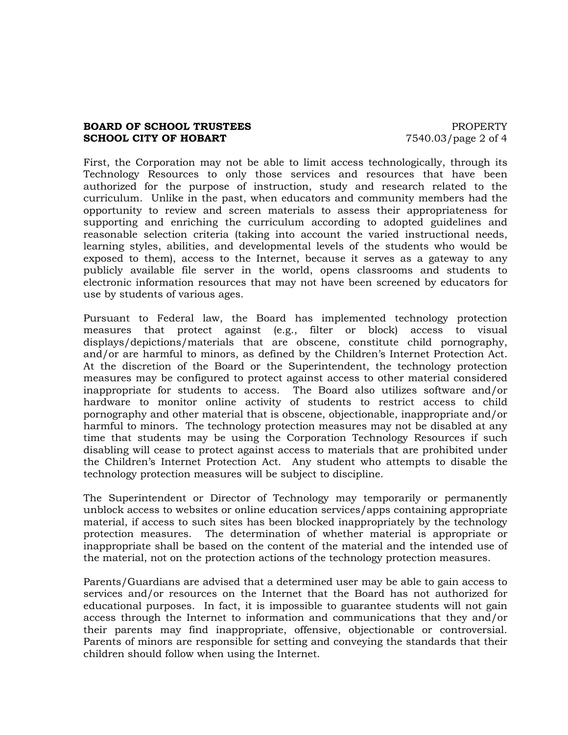# **BOARD OF SCHOOL TRUSTEES EXAMPLE PROPERTY SCHOOL CITY OF HOBART** 7540.03/page 2 of 4

First, the Corporation may not be able to limit access technologically, through its Technology Resources to only those services and resources that have been authorized for the purpose of instruction, study and research related to the curriculum. Unlike in the past, when educators and community members had the opportunity to review and screen materials to assess their appropriateness for supporting and enriching the curriculum according to adopted guidelines and reasonable selection criteria (taking into account the varied instructional needs, learning styles, abilities, and developmental levels of the students who would be exposed to them), access to the Internet, because it serves as a gateway to any publicly available file server in the world, opens classrooms and students to electronic information resources that may not have been screened by educators for use by students of various ages.

Pursuant to Federal law, the Board has implemented technology protection measures that protect against (e.g., filter or block) access to visual displays/depictions/materials that are obscene, constitute child pornography, and/or are harmful to minors, as defined by the Children's Internet Protection Act. At the discretion of the Board or the Superintendent, the technology protection measures may be configured to protect against access to other material considered inappropriate for students to access. The Board also utilizes software and/or hardware to monitor online activity of students to restrict access to child pornography and other material that is obscene, objectionable, inappropriate and/or harmful to minors. The technology protection measures may not be disabled at any time that students may be using the Corporation Technology Resources if such disabling will cease to protect against access to materials that are prohibited under the Children's Internet Protection Act. Any student who attempts to disable the technology protection measures will be subject to discipline.

The Superintendent or Director of Technology may temporarily or permanently unblock access to websites or online education services/apps containing appropriate material, if access to such sites has been blocked inappropriately by the technology protection measures. The determination of whether material is appropriate or inappropriate shall be based on the content of the material and the intended use of the material, not on the protection actions of the technology protection measures.

Parents/Guardians are advised that a determined user may be able to gain access to services and/or resources on the Internet that the Board has not authorized for educational purposes. In fact, it is impossible to guarantee students will not gain access through the Internet to information and communications that they and/or their parents may find inappropriate, offensive, objectionable or controversial. Parents of minors are responsible for setting and conveying the standards that their children should follow when using the Internet.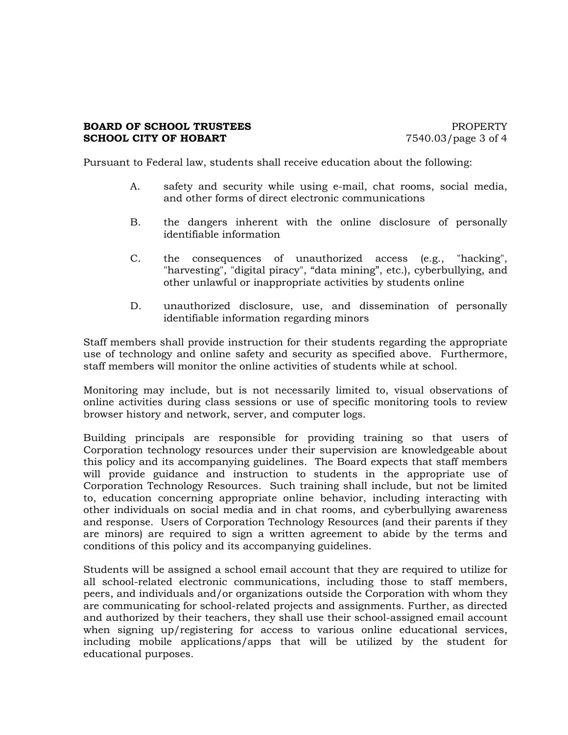# **BOARD OF SCHOOL TRUSTEES EXAMPLE PROPERTY SCHOOL CITY OF HOBART** 7540.03/page 3 of 4

Pursuant to Federal law, students shall receive education about the following:

- A. safety and security while using e-mail, chat rooms, social media, and other forms of direct electronic communications
- B. the dangers inherent with the online disclosure of personally identifiable information
- C. the consequences of unauthorized access (e.g., "hacking", "harvesting", "digital piracy", "data mining", etc.), cyberbullying, and other unlawful or inappropriate activities by students online
- D. unauthorized disclosure, use, and dissemination of personally identifiable information regarding minors

Staff members shall provide instruction for their students regarding the appropriate use of technology and online safety and security as specified above. Furthermore, staff members will monitor the online activities of students while at school.

Monitoring may include, but is not necessarily limited to, visual observations of online activities during class sessions or use of specific monitoring tools to review browser history and network, server, and computer logs.

Building principals are responsible for providing training so that users of Corporation technology resources under their supervision are knowledgeable about this policy and its accompanying guidelines. The Board expects that staff members will provide guidance and instruction to students in the appropriate use of Corporation Technology Resources. Such training shall include, but not be limited to, education concerning appropriate online behavior, including interacting with other individuals on social media and in chat rooms, and cyberbullying awareness and response. Users of Corporation Technology Resources (and their parents if they are minors) are required to sign a written agreement to abide by the terms and conditions of this policy and its accompanying guidelines.

Students will be assigned a school email account that they are required to utilize for all school-related electronic communications, including those to staff members, peers, and individuals and/or organizations outside the Corporation with whom they are communicating for school-related projects and assignments. Further, as directed and authorized by their teachers, they shall use their school-assigned email account when signing up/registering for access to various online educational services, including mobile applications/apps that will be utilized by the student for educational purposes.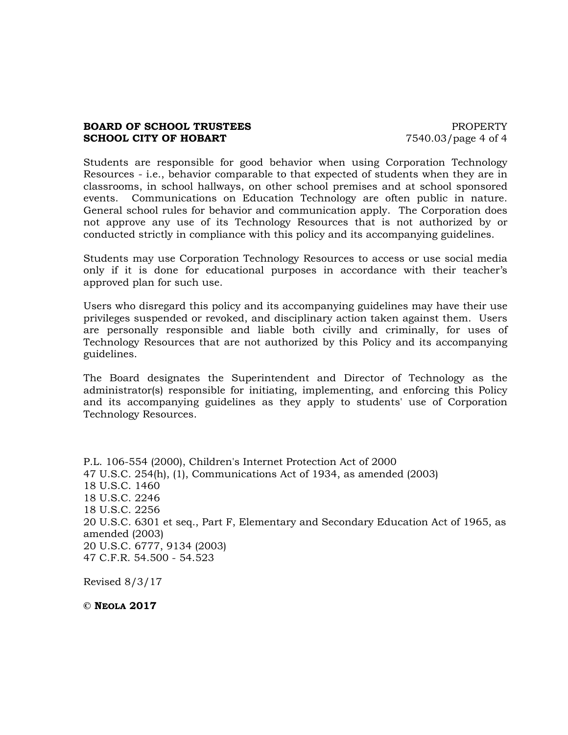# **BOARD OF SCHOOL TRUSTEES EXAMPLE PROPERTY SCHOOL CITY OF HOBART** 7540.03/page 4 of 4

Students are responsible for good behavior when using Corporation Technology Resources - i.e., behavior comparable to that expected of students when they are in classrooms, in school hallways, on other school premises and at school sponsored events. Communications on Education Technology are often public in nature. General school rules for behavior and communication apply. The Corporation does not approve any use of its Technology Resources that is not authorized by or conducted strictly in compliance with this policy and its accompanying guidelines.

Students may use Corporation Technology Resources to access or use social media only if it is done for educational purposes in accordance with their teacher's approved plan for such use.

Users who disregard this policy and its accompanying guidelines may have their use privileges suspended or revoked, and disciplinary action taken against them. Users are personally responsible and liable both civilly and criminally, for uses of Technology Resources that are not authorized by this Policy and its accompanying guidelines.

The Board designates the Superintendent and Director of Technology as the administrator(s) responsible for initiating, implementing, and enforcing this Policy and its accompanying guidelines as they apply to students' use of Corporation Technology Resources.

P.L. 106-554 (2000), Children's Internet Protection Act of 2000 47 U.S.C. 254(h), (1), Communications Act of 1934, as amended (2003) 18 U.S.C. 1460 18 U.S.C. 2246 18 U.S.C. 2256 20 U.S.C. 6301 et seq., Part F, Elementary and Secondary Education Act of 1965, as amended (2003) 20 U.S.C. 6777, 9134 (2003) 47 C.F.R. 54.500 - 54.523

Revised 8/3/17

**© NEOLA 2017**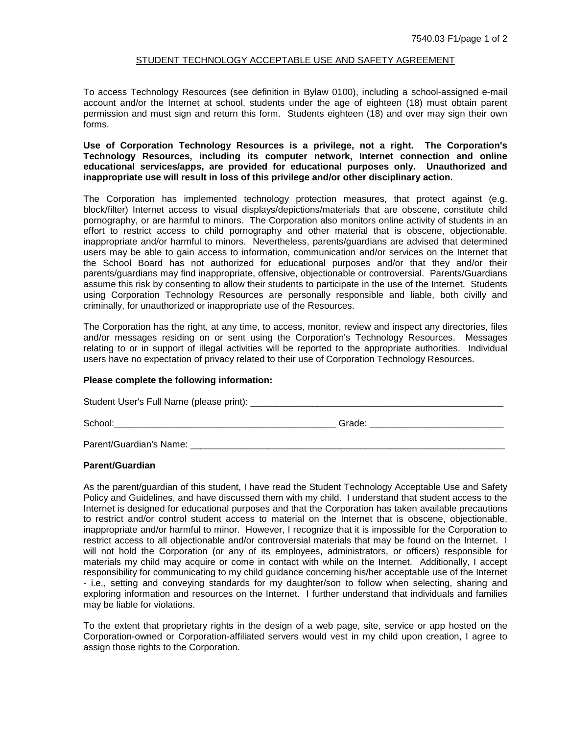### STUDENT TECHNOLOGY ACCEPTABLE USE AND SAFETY AGREEMENT

To access Technology Resources (see definition in Bylaw 0100), including a school-assigned e-mail account and/or the Internet at school, students under the age of eighteen (18) must obtain parent permission and must sign and return this form. Students eighteen (18) and over may sign their own forms.

### **Use of Corporation Technology Resources is a privilege, not a right. The Corporation's Technology Resources, including its computer network, Internet connection and online educational services/apps, are provided for educational purposes only. Unauthorized and inappropriate use will result in loss of this privilege and/or other disciplinary action.**

The Corporation has implemented technology protection measures, that protect against (e.g. block/filter) Internet access to visual displays/depictions/materials that are obscene, constitute child pornography, or are harmful to minors. The Corporation also monitors online activity of students in an effort to restrict access to child pornography and other material that is obscene, objectionable, inappropriate and/or harmful to minors. Nevertheless, parents/guardians are advised that determined users may be able to gain access to information, communication and/or services on the Internet that the School Board has not authorized for educational purposes and/or that they and/or their parents/guardians may find inappropriate, offensive, objectionable or controversial. Parents/Guardians assume this risk by consenting to allow their students to participate in the use of the Internet. Students using Corporation Technology Resources are personally responsible and liable, both civilly and criminally, for unauthorized or inappropriate use of the Resources.

The Corporation has the right, at any time, to access, monitor, review and inspect any directories, files and/or messages residing on or sent using the Corporation's Technology Resources. Messages relating to or in support of illegal activities will be reported to the appropriate authorities. Individual users have no expectation of privacy related to their use of Corporation Technology Resources.

### **Please complete the following information:**

Student User's Full Name (please print): \_\_\_\_\_\_\_\_\_\_\_\_\_\_\_\_\_\_\_\_\_\_\_\_\_\_\_\_\_\_\_\_\_\_\_\_\_\_\_\_\_\_\_\_\_\_\_\_\_

School:\_\_\_\_\_\_\_\_\_\_\_\_\_\_\_\_\_\_\_\_\_\_\_\_\_\_\_\_\_\_\_\_\_\_\_\_\_\_\_\_\_\_\_ Grade: \_\_\_\_\_\_\_\_\_\_\_\_\_\_\_\_\_\_\_\_\_\_\_\_\_\_

Parent/Guardian's Name:

### **Parent/Guardian**

As the parent/guardian of this student, I have read the Student Technology Acceptable Use and Safety Policy and Guidelines, and have discussed them with my child. I understand that student access to the Internet is designed for educational purposes and that the Corporation has taken available precautions to restrict and/or control student access to material on the Internet that is obscene, objectionable, inappropriate and/or harmful to minor. However, I recognize that it is impossible for the Corporation to restrict access to all objectionable and/or controversial materials that may be found on the Internet. I will not hold the Corporation (or any of its employees, administrators, or officers) responsible for materials my child may acquire or come in contact with while on the Internet. Additionally, I accept responsibility for communicating to my child guidance concerning his/her acceptable use of the Internet - i.e., setting and conveying standards for my daughter/son to follow when selecting, sharing and exploring information and resources on the Internet. I further understand that individuals and families may be liable for violations.

To the extent that proprietary rights in the design of a web page, site, service or app hosted on the Corporation-owned or Corporation-affiliated servers would vest in my child upon creation, I agree to assign those rights to the Corporation.